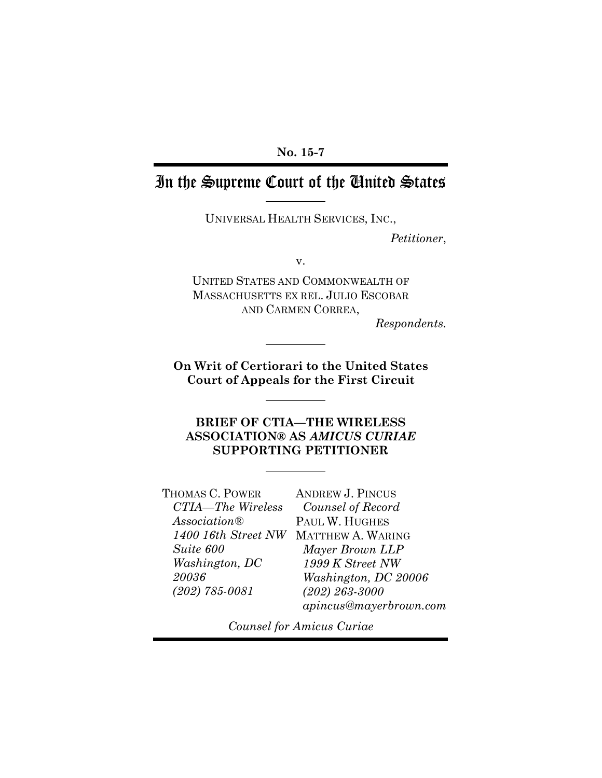### **No. 15-7**

## In the Supreme Court of the United States

UNIVERSAL HEALTH SERVICES, INC.,

*Petitioner*,

v.

UNITED STATES AND COMMONWEALTH OF MASSACHUSETTS EX REL. JULIO ESCOBAR AND CARMEN CORREA,

*Respondents.*

**On Writ of Certiorari to the United States Court of Appeals for the First Circuit**

**BRIEF OF CTIA—THE WIRELESS ASSOCIATION® AS** *AMICUS CURIAE* **SUPPORTING PETITIONER**

| THOMAS C. POWER    | <b>ANDREW J. PINCUS</b>               |
|--------------------|---------------------------------------|
| CTIA-The Wireless  | Counsel of Record                     |
| Association@       | PAUL W. HUGHES                        |
|                    | 1400 16th Street NW MATTHEW A. WARING |
| Suite 600          | Mayer Brown LLP                       |
| Washington, DC     | 1999 K Street NW                      |
| 20036              | Washington, DC 20006                  |
| $(202) 785 - 0081$ | $(202) 263 - 3000$                    |
|                    | apincus@mayerbrown.com                |

*Counsel for Amicus Curiae*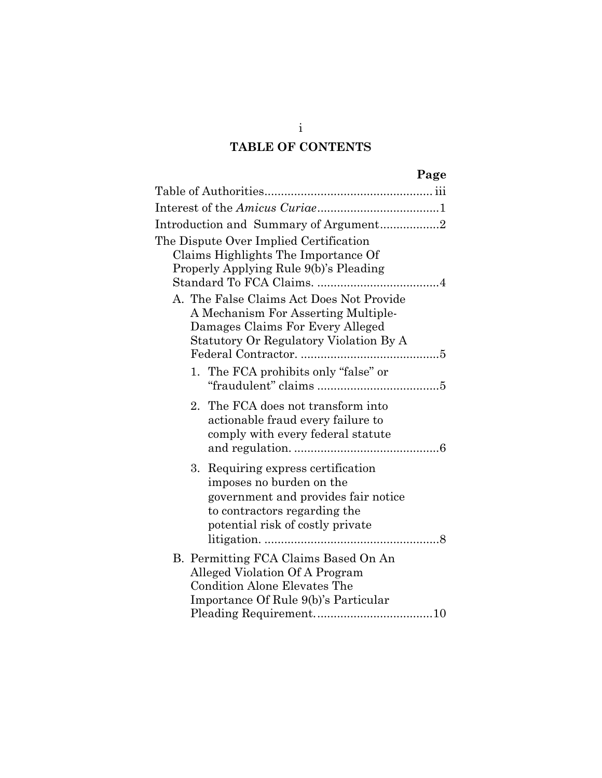## **TABLE OF CONTENTS**

|--|--|

| Introduction and Summary of Argument2                                                                                                                                        |
|------------------------------------------------------------------------------------------------------------------------------------------------------------------------------|
| The Dispute Over Implied Certification<br>Claims Highlights The Importance Of<br>Properly Applying Rule 9(b)'s Pleading<br>A. The False Claims Act Does Not Provide          |
| A Mechanism For Asserting Multiple-                                                                                                                                          |
| Damages Claims For Every Alleged<br>Statutory Or Regulatory Violation By A                                                                                                   |
| 1. The FCA prohibits only "false" or                                                                                                                                         |
| 2. The FCA does not transform into<br>actionable fraud every failure to<br>comply with every federal statute                                                                 |
| 3.<br>Requiring express certification<br>imposes no burden on the<br>government and provides fair notice<br>to contractors regarding the<br>potential risk of costly private |
| B. Permitting FCA Claims Based On An<br>Alleged Violation Of A Program<br><b>Condition Alone Elevates The</b><br>Importance Of Rule 9(b)'s Particular                        |

i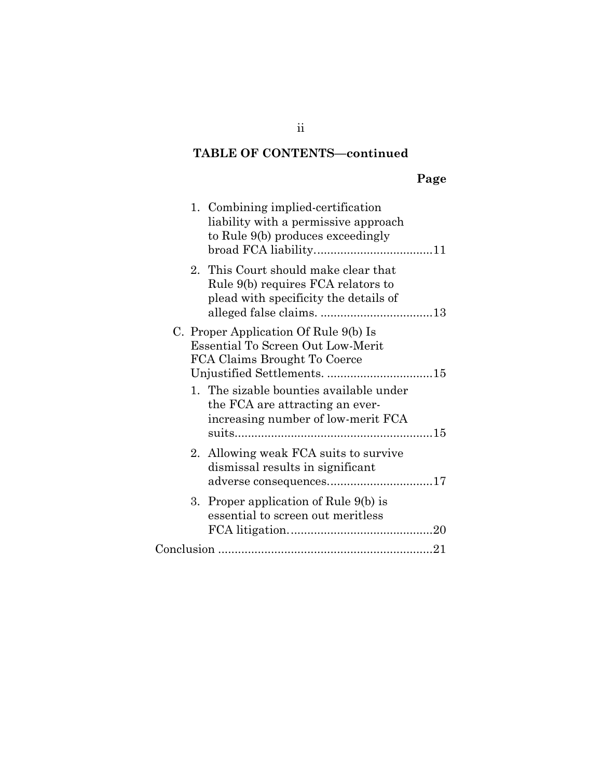## **TABLE OF CONTENTS—continued**

## **Page**

| 1. Combining implied-certification<br>liability with a permissive approach<br>to Rule 9(b) produces exceedingly     |
|---------------------------------------------------------------------------------------------------------------------|
| 2. This Court should make clear that<br>Rule 9(b) requires FCA relators to<br>plead with specificity the details of |
| C. Proper Application Of Rule 9(b) Is<br>Essential To Screen Out Low-Merit<br>FCA Claims Brought To Coerce          |
| 1. The sizable bounties available under<br>the FCA are attracting an ever-<br>increasing number of low-merit FCA    |
| 2. Allowing weak FCA suits to survive<br>dismissal results in significant<br>adverse consequences17                 |
| 3. Proper application of Rule 9(b) is<br>essential to screen out meritless                                          |
|                                                                                                                     |

ii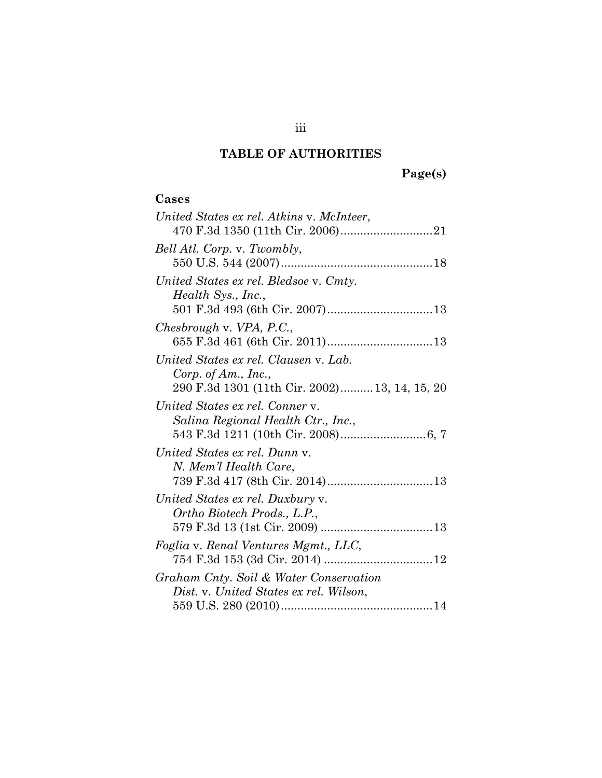## **TABLE OF AUTHORITIES**

# **Page(s)**

### **Cases**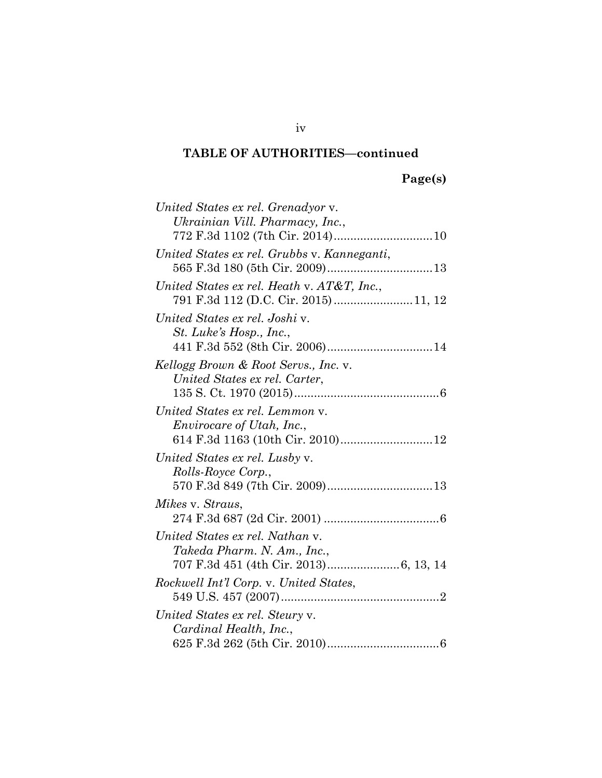## **Page(s)**

| United States ex rel. Grenadyor v.          |
|---------------------------------------------|
| Ukrainian Vill. Pharmacy, Inc.,             |
|                                             |
| United States ex rel. Grubbs v. Kanneganti, |
|                                             |
| United States ex rel. Heath v. AT&T, Inc.,  |
|                                             |
| United States ex rel. Joshi v.              |
| St. Luke's Hosp., Inc.,                     |
|                                             |
| Kellogg Brown & Root Servs., Inc. v.        |
| United States ex rel. Carter,               |
|                                             |
| United States ex rel. Lemmon v.             |
| <i>Envirocare of Utah, Inc.,</i>            |
| 614 F.3d 1163 (10th Cir. 2010)12            |
| United States ex rel. Lusby v.              |
| Rolls-Royce Corp.,                          |
|                                             |
| Mikes v. Straus,                            |
|                                             |
| United States ex rel. Nathan v.             |
| Takeda Pharm. N. Am., Inc.,                 |
|                                             |
| Rockwell Int'l Corp. v. United States,      |
|                                             |
| United States ex rel. Steury v.             |
| Cardinal Health, Inc.,                      |
|                                             |

iv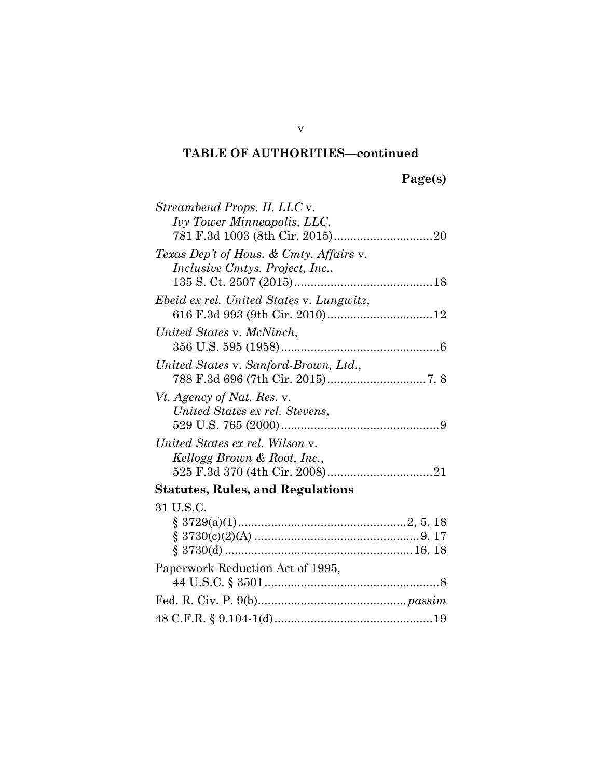| Streambend Props. II, LLC v.             |  |
|------------------------------------------|--|
| Ivy Tower Minneapolis, LLC,              |  |
|                                          |  |
| Texas Dep't of Hous. & Cmty. Affairs v.  |  |
| <i>Inclusive Cmtys. Project, Inc.,</i>   |  |
|                                          |  |
| Ebeid ex rel. United States v. Lungwitz, |  |
|                                          |  |
| United States v. McNinch,                |  |
|                                          |  |
| United States v. Sanford-Brown, Ltd.,    |  |
|                                          |  |
| Vt. Agency of Nat. Res. v.               |  |
| United States ex rel. Stevens,           |  |
|                                          |  |
| United States ex rel. Wilson v.          |  |
| Kellogg Brown & Root, Inc.,              |  |
|                                          |  |
| <b>Statutes, Rules, and Regulations</b>  |  |
| 31 U.S.C.                                |  |
|                                          |  |
|                                          |  |
|                                          |  |
| Paperwork Reduction Act of 1995,         |  |
|                                          |  |
|                                          |  |
|                                          |  |
|                                          |  |

v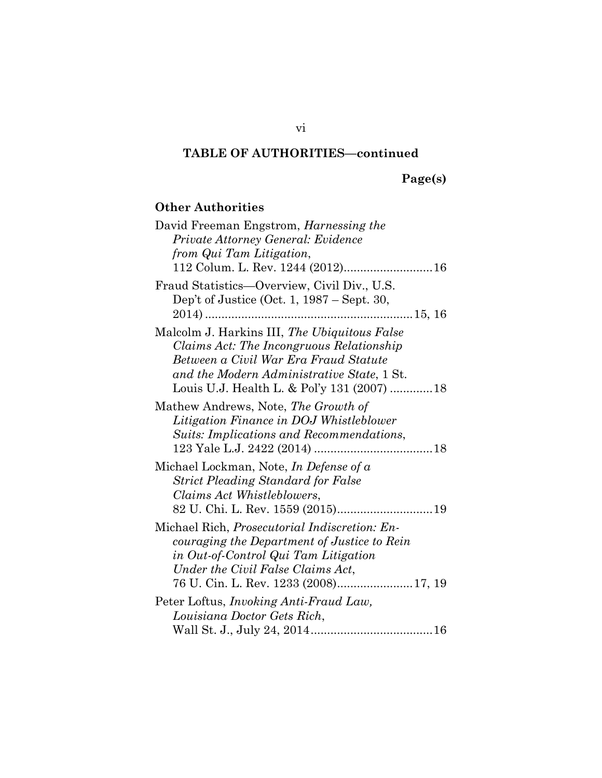**Page(s)**

## **Other Authorities**

| David Freeman Engstrom, <i>Harnessing the</i>                                                                                                                                                                                 |
|-------------------------------------------------------------------------------------------------------------------------------------------------------------------------------------------------------------------------------|
| Private Attorney General: Evidence                                                                                                                                                                                            |
| from Qui Tam Litigation,                                                                                                                                                                                                      |
| 112 Colum. L. Rev. 1244 (2012) 16                                                                                                                                                                                             |
| Fraud Statistics-Overview, Civil Div., U.S.<br>Dep't of Justice (Oct. 1, 1987 – Sept. 30,                                                                                                                                     |
| Malcolm J. Harkins III, The Ubiquitous False<br>Claims Act: The Incongruous Relationship<br>Between a Civil War Era Fraud Statute<br>and the Modern Administrative State, 1 St.<br>Louis U.J. Health L. & Pol'y 131 (2007) 18 |
| Mathew Andrews, Note, The Growth of<br>Litigation Finance in DOJ Whistleblower<br>Suits: Implications and Recommendations,                                                                                                    |
| Michael Lockman, Note, In Defense of a<br><b>Strict Pleading Standard for False</b><br>Claims Act Whistleblowers,<br>82 U. Chi. L. Rev. 1559 (2015) 19                                                                        |
| Michael Rich, Prosecutorial Indiscretion: En-<br>couraging the Department of Justice to Rein<br>in Out-of-Control Qui Tam Litigation<br>Under the Civil False Claims Act,<br>76 U. Cin. L. Rev. 1233 (2008)17, 19             |
| Peter Loftus, <i>Invoking Anti-Fraud Law</i> ,                                                                                                                                                                                |
| Louisiana Doctor Gets Rich,                                                                                                                                                                                                   |
|                                                                                                                                                                                                                               |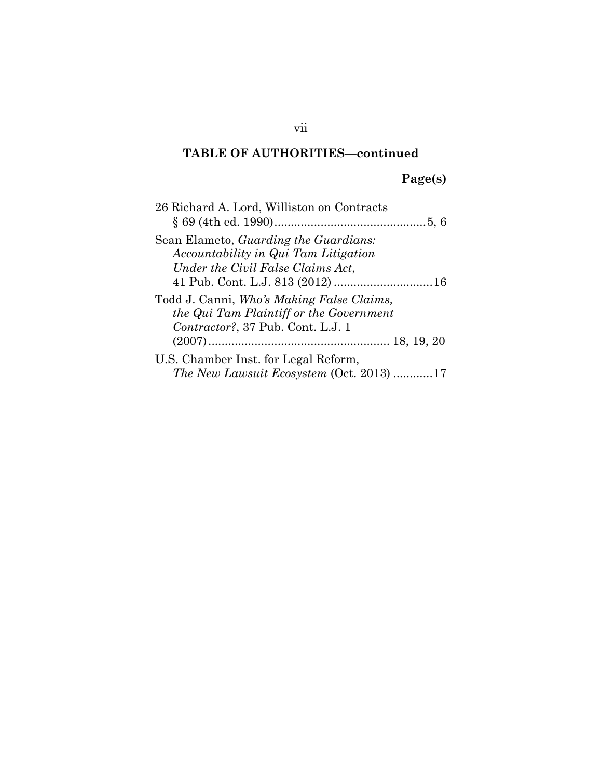## **Page(s)**

| 26 Richard A. Lord, Williston on Contracts                                                                                |
|---------------------------------------------------------------------------------------------------------------------------|
| Sean Elameto, <i>Guarding the Guardians</i> :<br>Accountability in Qui Tam Litigation                                     |
| Under the Civil False Claims Act,                                                                                         |
| Todd J. Canni, Who's Making False Claims,<br>the Qui Tam Plaintiff or the Government<br>Contractor?, 37 Pub. Cont. L.J. 1 |
|                                                                                                                           |
| U.S. Chamber Inst. for Legal Reform,<br>The New Lawsuit Ecosystem (Oct. 2013) 17                                          |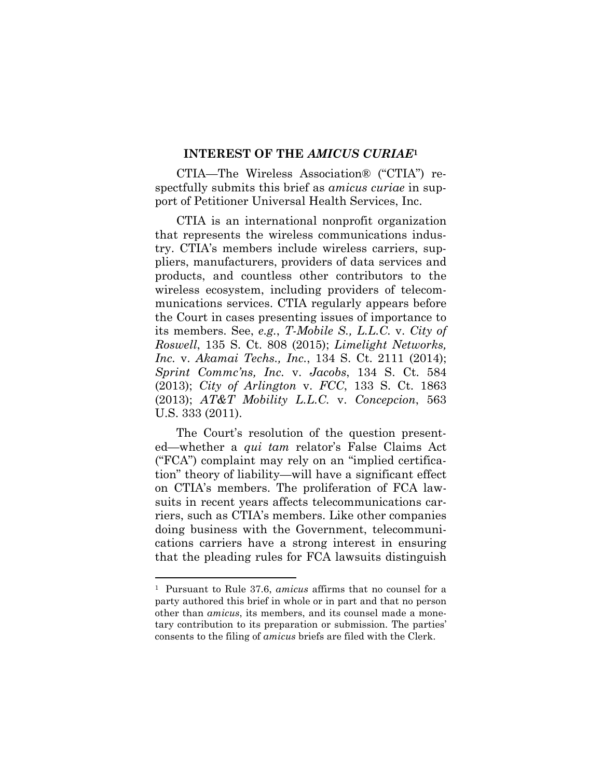#### **INTEREST OF THE** *AMICUS CURIAE***<sup>1</sup>**

CTIA—The Wireless Association® ("CTIA") respectfully submits this brief as *amicus curiae* in support of Petitioner Universal Health Services, Inc.

CTIA is an international nonprofit organization that represents the wireless communications industry. CTIA's members include wireless carriers, suppliers, manufacturers, providers of data services and products, and countless other contributors to the wireless ecosystem, including providers of telecommunications services. CTIA regularly appears before the Court in cases presenting issues of importance to its members. See, *e.g.*, *T-Mobile S., L.L.C.* v. *City of Roswell*, 135 S. Ct. 808 (2015); *Limelight Networks, Inc.* v. *Akamai Techs., Inc.*, 134 S. Ct. 2111 (2014); *Sprint Commc'ns, Inc.* v. *Jacobs*, 134 S. Ct. 584 (2013); *City of Arlington* v. *FCC*, 133 S. Ct. 1863 (2013); *AT&T Mobility L.L.C.* v. *Concepcion*, 563 U.S. 333 (2011).

The Court's resolution of the question presented—whether a *qui tam* relator's False Claims Act ("FCA") complaint may rely on an "implied certification" theory of liability—will have a significant effect on CTIA's members. The proliferation of FCA lawsuits in recent years affects telecommunications carriers, such as CTIA's members. Like other companies doing business with the Government, telecommunications carriers have a strong interest in ensuring that the pleading rules for FCA lawsuits distinguish

l

<sup>1</sup> Pursuant to Rule 37.6, *amicus* affirms that no counsel for a party authored this brief in whole or in part and that no person other than *amicus*, its members, and its counsel made a monetary contribution to its preparation or submission. The parties' consents to the filing of *amicus* briefs are filed with the Clerk.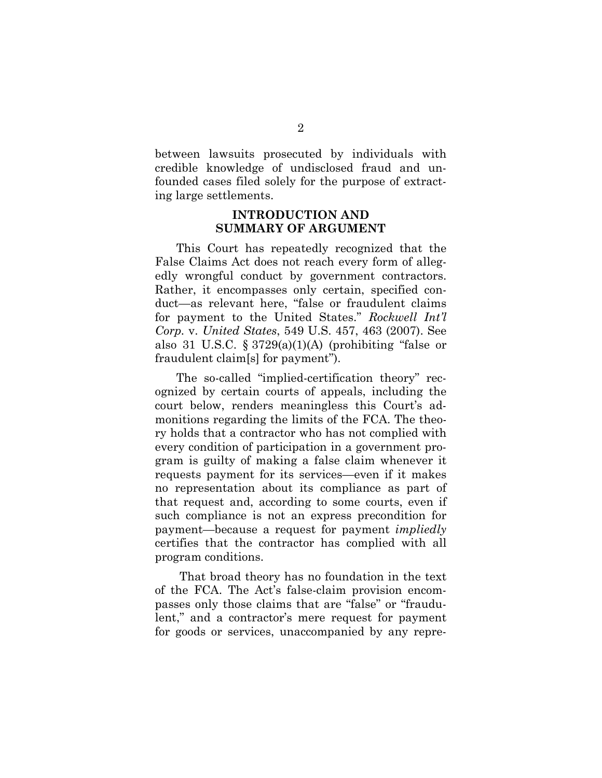between lawsuits prosecuted by individuals with credible knowledge of undisclosed fraud and unfounded cases filed solely for the purpose of extracting large settlements.

### **INTRODUCTION AND SUMMARY OF ARGUMENT**

This Court has repeatedly recognized that the False Claims Act does not reach every form of allegedly wrongful conduct by government contractors. Rather, it encompasses only certain, specified conduct—as relevant here, "false or fraudulent claims for payment to the United States." *Rockwell Int'l Corp.* v. *United States*, 549 U.S. 457, 463 (2007). See also 31 U.S.C.  $\S 3729(a)(1)(A)$  (prohibiting "false or fraudulent claim[s] for payment").

The so-called "implied-certification theory" recognized by certain courts of appeals, including the court below, renders meaningless this Court's admonitions regarding the limits of the FCA. The theory holds that a contractor who has not complied with every condition of participation in a government program is guilty of making a false claim whenever it requests payment for its services—even if it makes no representation about its compliance as part of that request and, according to some courts, even if such compliance is not an express precondition for payment—because a request for payment *impliedly* certifies that the contractor has complied with all program conditions.

That broad theory has no foundation in the text of the FCA. The Act's false-claim provision encompasses only those claims that are "false" or "fraudulent," and a contractor's mere request for payment for goods or services, unaccompanied by any repre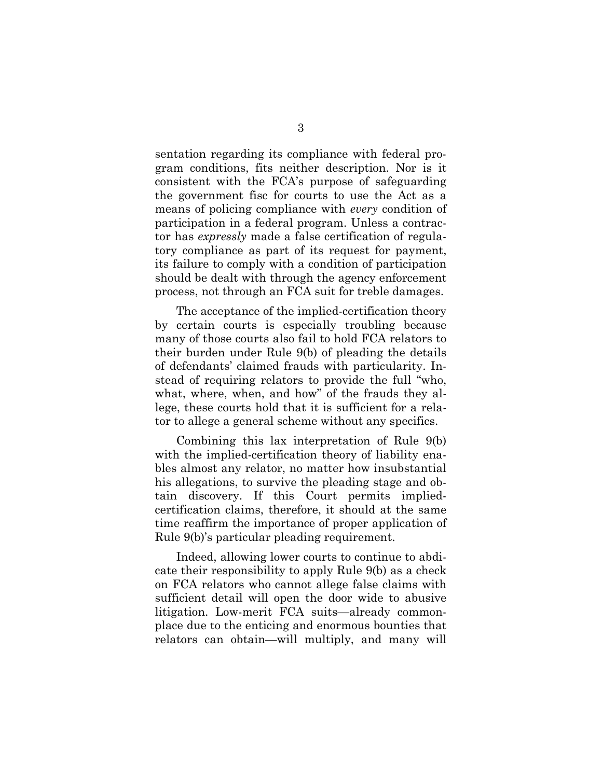sentation regarding its compliance with federal program conditions, fits neither description. Nor is it consistent with the FCA's purpose of safeguarding the government fisc for courts to use the Act as a means of policing compliance with *every* condition of participation in a federal program. Unless a contractor has *expressly* made a false certification of regulatory compliance as part of its request for payment, its failure to comply with a condition of participation should be dealt with through the agency enforcement process, not through an FCA suit for treble damages.

The acceptance of the implied-certification theory by certain courts is especially troubling because many of those courts also fail to hold FCA relators to their burden under Rule 9(b) of pleading the details of defendants' claimed frauds with particularity. Instead of requiring relators to provide the full "who, what, where, when, and how" of the frauds they allege, these courts hold that it is sufficient for a relator to allege a general scheme without any specifics.

Combining this lax interpretation of Rule 9(b) with the implied-certification theory of liability enables almost any relator, no matter how insubstantial his allegations, to survive the pleading stage and obtain discovery. If this Court permits impliedcertification claims, therefore, it should at the same time reaffirm the importance of proper application of Rule 9(b)'s particular pleading requirement.

Indeed, allowing lower courts to continue to abdicate their responsibility to apply Rule 9(b) as a check on FCA relators who cannot allege false claims with sufficient detail will open the door wide to abusive litigation. Low-merit FCA suits—already commonplace due to the enticing and enormous bounties that relators can obtain—will multiply, and many will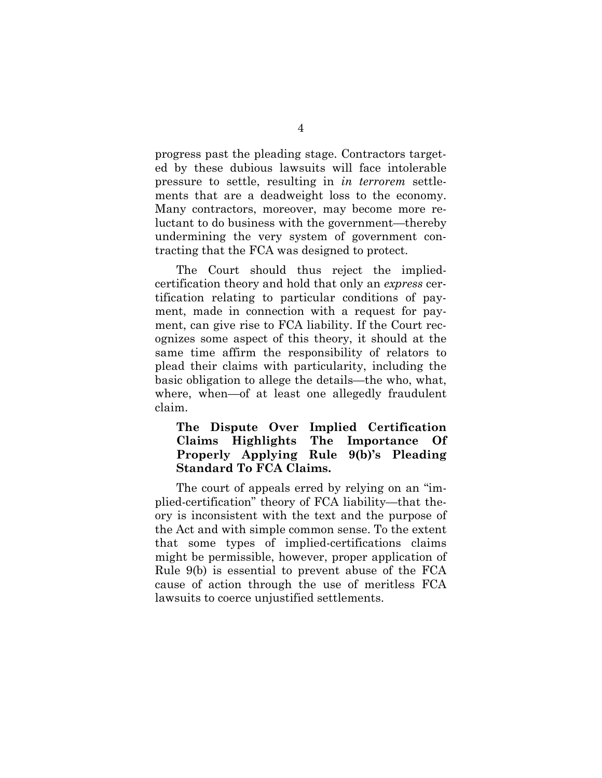progress past the pleading stage. Contractors targeted by these dubious lawsuits will face intolerable pressure to settle, resulting in *in terrorem* settlements that are a deadweight loss to the economy. Many contractors, moreover, may become more reluctant to do business with the government—thereby undermining the very system of government contracting that the FCA was designed to protect.

The Court should thus reject the impliedcertification theory and hold that only an *express* certification relating to particular conditions of payment, made in connection with a request for payment, can give rise to FCA liability. If the Court recognizes some aspect of this theory, it should at the same time affirm the responsibility of relators to plead their claims with particularity, including the basic obligation to allege the details—the who, what, where, when—of at least one allegedly fraudulent claim.

### **The Dispute Over Implied Certification Claims Highlights The Importance Of Properly Applying Rule 9(b)'s Pleading Standard To FCA Claims.**

The court of appeals erred by relying on an "implied-certification" theory of FCA liability—that theory is inconsistent with the text and the purpose of the Act and with simple common sense. To the extent that some types of implied-certifications claims might be permissible, however, proper application of Rule 9(b) is essential to prevent abuse of the FCA cause of action through the use of meritless FCA lawsuits to coerce unjustified settlements.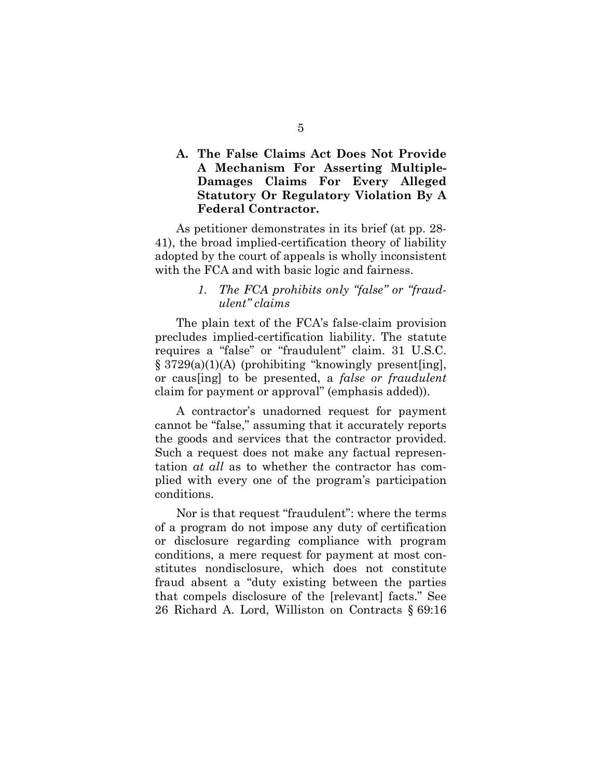### **A. The False Claims Act Does Not Provide A Mechanism For Asserting Multiple-Damages Claims For Every Alleged Statutory Or Regulatory Violation By A Federal Contractor.**

As petitioner demonstrates in its brief (at pp. 28- 41), the broad implied-certification theory of liability adopted by the court of appeals is wholly inconsistent with the FCA and with basic logic and fairness.

#### *1. The FCA prohibits only "false" or "fraudulent" claims*

The plain text of the FCA's false-claim provision precludes implied-certification liability. The statute requires a "false" or "fraudulent" claim. 31 U.S.C. § 3729(a)(1)(A) (prohibiting "knowingly present[ing], or caus[ing] to be presented, a *false or fraudulent* claim for payment or approval" (emphasis added)).

A contractor's unadorned request for payment cannot be "false," assuming that it accurately reports the goods and services that the contractor provided. Such a request does not make any factual representation *at all* as to whether the contractor has complied with every one of the program's participation conditions.

Nor is that request "fraudulent": where the terms of a program do not impose any duty of certification or disclosure regarding compliance with program conditions, a mere request for payment at most constitutes nondisclosure, which does not constitute fraud absent a "duty existing between the parties that compels disclosure of the [relevant] facts." See 26 Richard A. Lord, Williston on Contracts § 69:16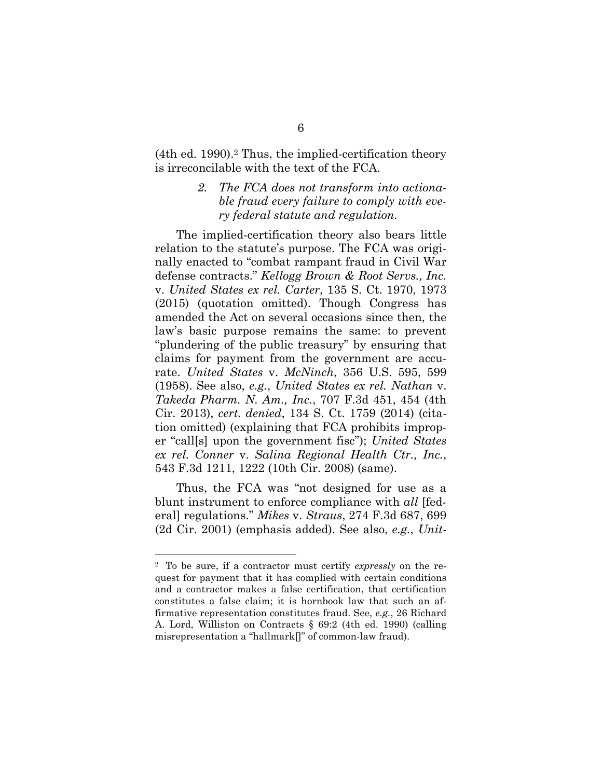(4th ed. 1990).<sup>2</sup> Thus, the implied-certification theory is irreconcilable with the text of the FCA.

#### *2. The FCA does not transform into actionable fraud every failure to comply with every federal statute and regulation.*

The implied-certification theory also bears little relation to the statute's purpose. The FCA was originally enacted to "combat rampant fraud in Civil War defense contracts." *Kellogg Brown & Root Servs., Inc.*  v. *United States ex rel. Carter*, 135 S. Ct. 1970, 1973 (2015) (quotation omitted). Though Congress has amended the Act on several occasions since then, the law's basic purpose remains the same: to prevent "plundering of the public treasury" by ensuring that claims for payment from the government are accurate. *United States* v. *McNinch*, 356 U.S. 595, 599 (1958). See also, *e.g.*, *United States ex rel. Nathan* v. *Takeda Pharm. N. Am., Inc.*, 707 F.3d 451, 454 (4th Cir. 2013), *cert. denied*, 134 S. Ct. 1759 (2014) (citation omitted) (explaining that FCA prohibits improper "call[s] upon the government fisc"); *United States ex rel. Conner* v. *Salina Regional Health Ctr., Inc.*, 543 F.3d 1211, 1222 (10th Cir. 2008) (same).

Thus, the FCA was "not designed for use as a blunt instrument to enforce compliance with *all* [federal] regulations." *Mikes* v. *Straus*, 274 F.3d 687, 699 (2d Cir. 2001) (emphasis added). See also, *e.g.*, *Unit-*

l

<sup>2</sup> To be sure, if a contractor must certify *expressly* on the request for payment that it has complied with certain conditions and a contractor makes a false certification, that certification constitutes a false claim; it is hornbook law that such an affirmative representation constitutes fraud. See, *e.g.*, 26 Richard A. Lord, Williston on Contracts § 69:2 (4th ed. 1990) (calling misrepresentation a "hallmark[]" of common-law fraud).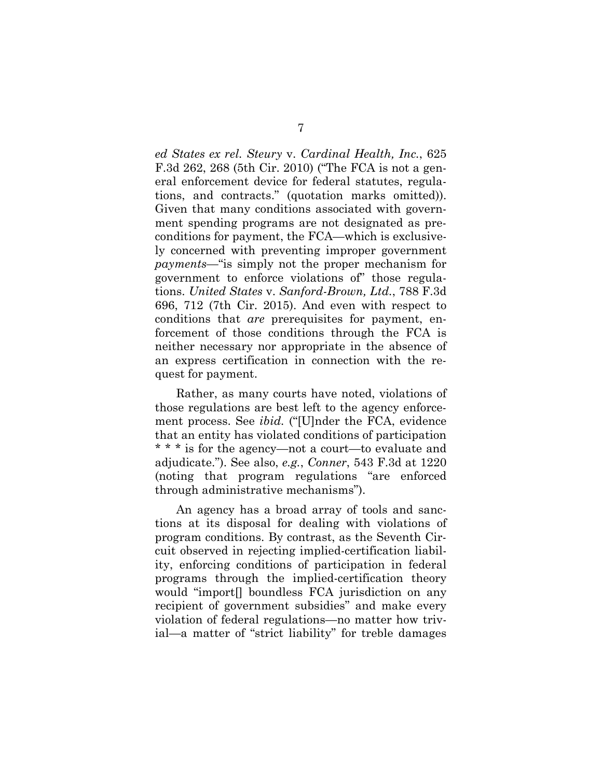*ed States ex rel. Steury* v. *Cardinal Health, Inc.*, 625 F.3d 262, 268 (5th Cir. 2010) ("The FCA is not a general enforcement device for federal statutes, regulations, and contracts." (quotation marks omitted)). Given that many conditions associated with government spending programs are not designated as preconditions for payment, the FCA—which is exclusively concerned with preventing improper government *payments*—"is simply not the proper mechanism for government to enforce violations of" those regulations. *United States* v. *Sanford-Brown, Ltd.*, 788 F.3d 696, 712 (7th Cir. 2015). And even with respect to conditions that *are* prerequisites for payment, enforcement of those conditions through the FCA is neither necessary nor appropriate in the absence of an express certification in connection with the request for payment.

Rather, as many courts have noted, violations of those regulations are best left to the agency enforcement process. See *ibid.* ("[U]nder the FCA, evidence that an entity has violated conditions of participation \* \* \* is for the agency—not a court—to evaluate and adjudicate."). See also, *e.g.*, *Conner*, 543 F.3d at 1220 (noting that program regulations "are enforced through administrative mechanisms").

An agency has a broad array of tools and sanctions at its disposal for dealing with violations of program conditions. By contrast, as the Seventh Circuit observed in rejecting implied-certification liability, enforcing conditions of participation in federal programs through the implied-certification theory would "import[] boundless FCA jurisdiction on any recipient of government subsidies" and make every violation of federal regulations—no matter how trivial—a matter of "strict liability" for treble damages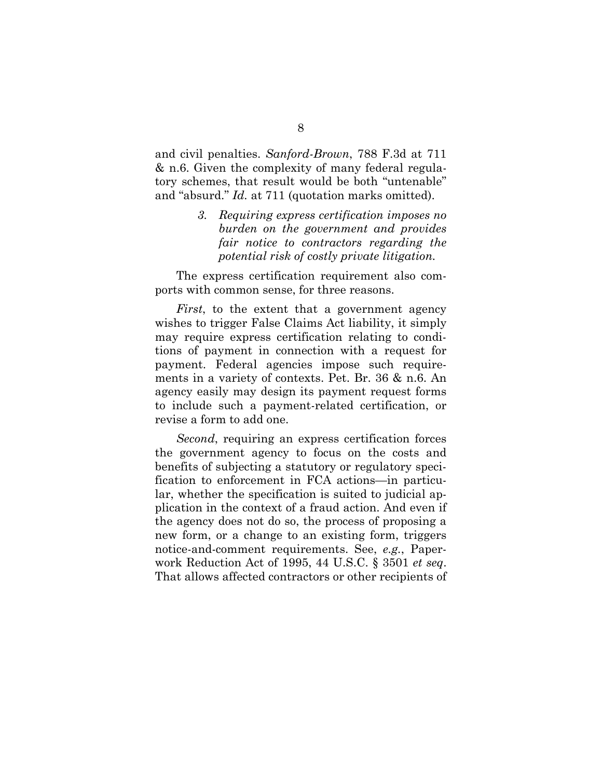and civil penalties. *Sanford-Brown*, 788 F.3d at 711 & n.6. Given the complexity of many federal regulatory schemes, that result would be both "untenable" and "absurd." *Id.* at 711 (quotation marks omitted).

> *3. Requiring express certification imposes no burden on the government and provides fair notice to contractors regarding the potential risk of costly private litigation.*

The express certification requirement also comports with common sense, for three reasons.

*First*, to the extent that a government agency wishes to trigger False Claims Act liability, it simply may require express certification relating to conditions of payment in connection with a request for payment. Federal agencies impose such requirements in a variety of contexts. Pet. Br. 36 & n.6. An agency easily may design its payment request forms to include such a payment-related certification, or revise a form to add one.

*Second*, requiring an express certification forces the government agency to focus on the costs and benefits of subjecting a statutory or regulatory specification to enforcement in FCA actions—in particular, whether the specification is suited to judicial application in the context of a fraud action. And even if the agency does not do so, the process of proposing a new form, or a change to an existing form, triggers notice-and-comment requirements. See, *e.g.*, Paperwork Reduction Act of 1995, 44 U.S.C. § 3501 *et seq*. That allows affected contractors or other recipients of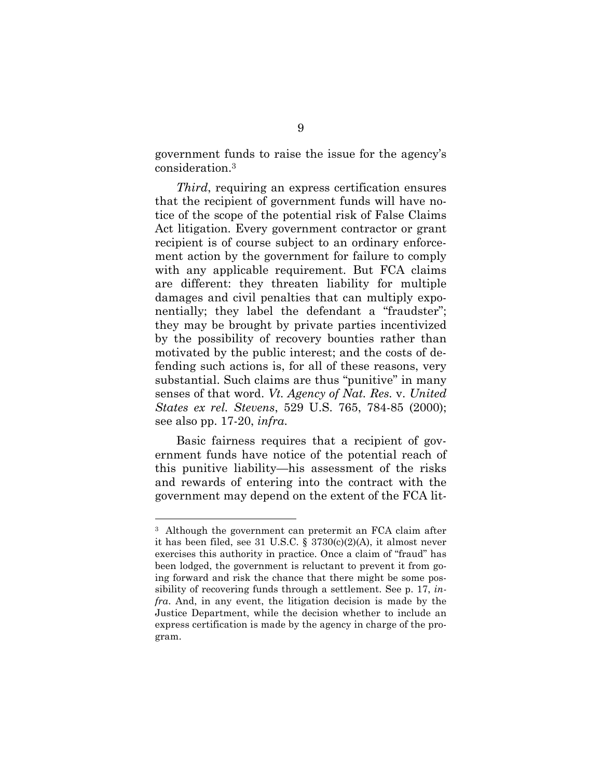government funds to raise the issue for the agency's consideration.<sup>3</sup>

*Third*, requiring an express certification ensures that the recipient of government funds will have notice of the scope of the potential risk of False Claims Act litigation. Every government contractor or grant recipient is of course subject to an ordinary enforcement action by the government for failure to comply with any applicable requirement. But FCA claims are different: they threaten liability for multiple damages and civil penalties that can multiply exponentially; they label the defendant a "fraudster"; they may be brought by private parties incentivized by the possibility of recovery bounties rather than motivated by the public interest; and the costs of defending such actions is, for all of these reasons, very substantial. Such claims are thus "punitive" in many senses of that word. *Vt. Agency of Nat. Res.* v. *United States ex rel. Stevens*, 529 U.S. 765, 784-85 (2000); see also pp. 17-20, *infra*.

Basic fairness requires that a recipient of government funds have notice of the potential reach of this punitive liability—his assessment of the risks and rewards of entering into the contract with the government may depend on the extent of the FCA lit-

l

<sup>3</sup> Although the government can pretermit an FCA claim after it has been filed, see 31 U.S.C. § 3730(c)(2)(A), it almost never exercises this authority in practice. Once a claim of "fraud" has been lodged, the government is reluctant to prevent it from going forward and risk the chance that there might be some possibility of recovering funds through a settlement. See p. 17, *infra*. And, in any event, the litigation decision is made by the Justice Department, while the decision whether to include an express certification is made by the agency in charge of the program.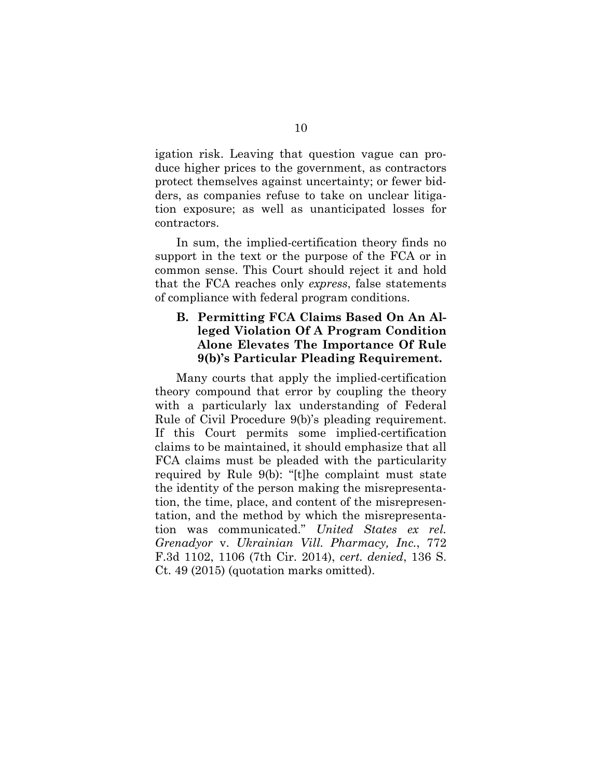igation risk. Leaving that question vague can produce higher prices to the government, as contractors protect themselves against uncertainty; or fewer bidders, as companies refuse to take on unclear litigation exposure; as well as unanticipated losses for contractors.

In sum, the implied-certification theory finds no support in the text or the purpose of the FCA or in common sense. This Court should reject it and hold that the FCA reaches only *express*, false statements of compliance with federal program conditions.

### **B. Permitting FCA Claims Based On An Alleged Violation Of A Program Condition Alone Elevates The Importance Of Rule 9(b)'s Particular Pleading Requirement.**

Many courts that apply the implied-certification theory compound that error by coupling the theory with a particularly lax understanding of Federal Rule of Civil Procedure 9(b)'s pleading requirement. If this Court permits some implied-certification claims to be maintained, it should emphasize that all FCA claims must be pleaded with the particularity required by Rule 9(b): "[t]he complaint must state the identity of the person making the misrepresentation, the time, place, and content of the misrepresentation, and the method by which the misrepresentation was communicated." *United States ex rel. Grenadyor* v. *Ukrainian Vill. Pharmacy, Inc.*, 772 F.3d 1102, 1106 (7th Cir. 2014), *cert. denied*, 136 S. Ct. 49 (2015) (quotation marks omitted).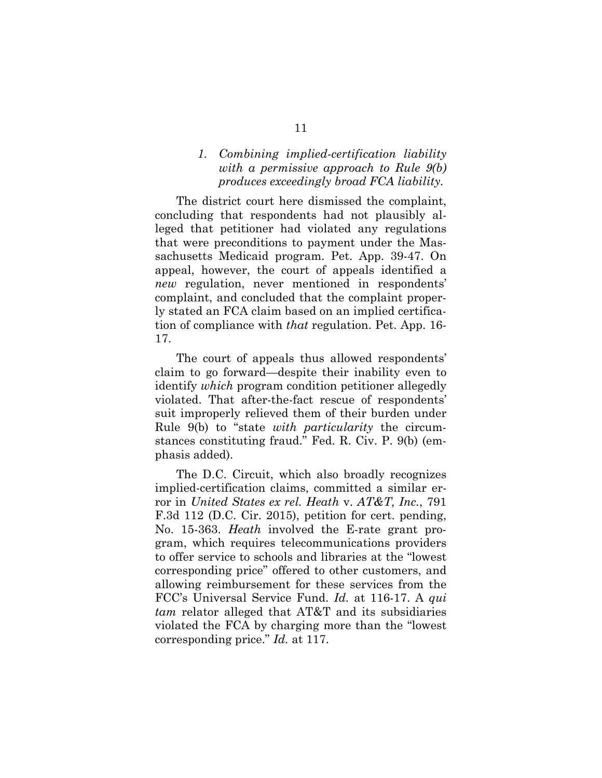### *1. Combining implied-certification liability with a permissive approach to Rule 9(b) produces exceedingly broad FCA liability.*

The district court here dismissed the complaint, concluding that respondents had not plausibly alleged that petitioner had violated any regulations that were preconditions to payment under the Massachusetts Medicaid program. Pet. App. 39-47. On appeal, however, the court of appeals identified a *new* regulation, never mentioned in respondents' complaint, and concluded that the complaint properly stated an FCA claim based on an implied certification of compliance with *that* regulation. Pet. App. 16- 17.

The court of appeals thus allowed respondents' claim to go forward—despite their inability even to identify *which* program condition petitioner allegedly violated. That after-the-fact rescue of respondents' suit improperly relieved them of their burden under Rule 9(b) to "state *with particularity* the circumstances constituting fraud." Fed. R. Civ. P. 9(b) (emphasis added).

The D.C. Circuit, which also broadly recognizes implied-certification claims, committed a similar error in *United States ex rel. Heath* v. *AT&T, Inc.*, 791 F.3d 112 (D.C. Cir. 2015), petition for cert. pending, No. 15-363. *Heath* involved the E-rate grant program, which requires telecommunications providers to offer service to schools and libraries at the "lowest corresponding price" offered to other customers, and allowing reimbursement for these services from the FCC's Universal Service Fund. *Id.* at 116-17. A *qui tam* relator alleged that AT&T and its subsidiaries violated the FCA by charging more than the "lowest corresponding price." *Id.* at 117.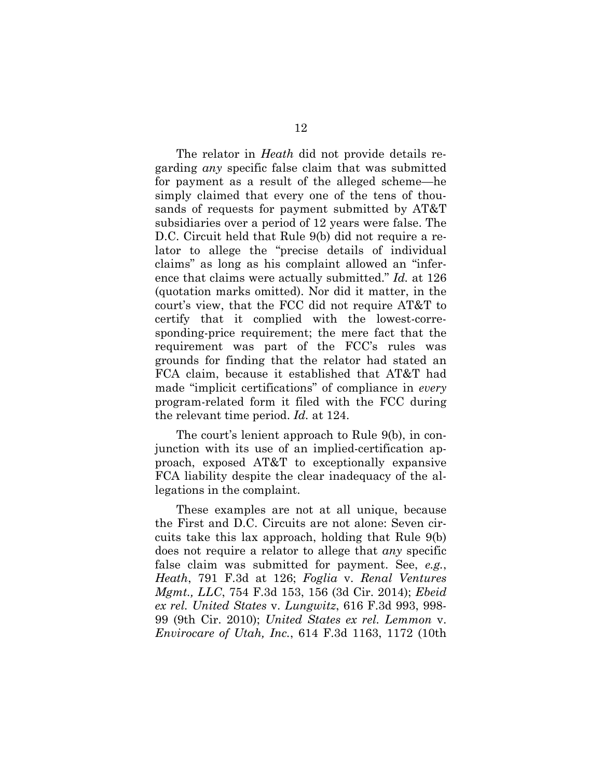The relator in *Heath* did not provide details regarding *any* specific false claim that was submitted for payment as a result of the alleged scheme—he simply claimed that every one of the tens of thousands of requests for payment submitted by AT&T subsidiaries over a period of 12 years were false. The D.C. Circuit held that Rule 9(b) did not require a relator to allege the "precise details of individual claims" as long as his complaint allowed an "inference that claims were actually submitted." *Id.* at 126 (quotation marks omitted). Nor did it matter, in the court's view, that the FCC did not require AT&T to certify that it complied with the lowest-corresponding-price requirement; the mere fact that the requirement was part of the FCC's rules was grounds for finding that the relator had stated an FCA claim, because it established that AT&T had made "implicit certifications" of compliance in *every*  program-related form it filed with the FCC during the relevant time period. *Id.* at 124.

The court's lenient approach to Rule 9(b), in conjunction with its use of an implied-certification approach, exposed AT&T to exceptionally expansive FCA liability despite the clear inadequacy of the allegations in the complaint.

These examples are not at all unique, because the First and D.C. Circuits are not alone: Seven circuits take this lax approach, holding that Rule 9(b) does not require a relator to allege that *any* specific false claim was submitted for payment. See, *e.g.*, *Heath*, 791 F.3d at 126; *Foglia* v. *Renal Ventures Mgmt., LLC*, 754 F.3d 153, 156 (3d Cir. 2014); *Ebeid ex rel. United States* v. *Lungwitz*, 616 F.3d 993, 998- 99 (9th Cir. 2010); *United States ex rel. Lemmon* v. *Envirocare of Utah, Inc.*, 614 F.3d 1163, 1172 (10th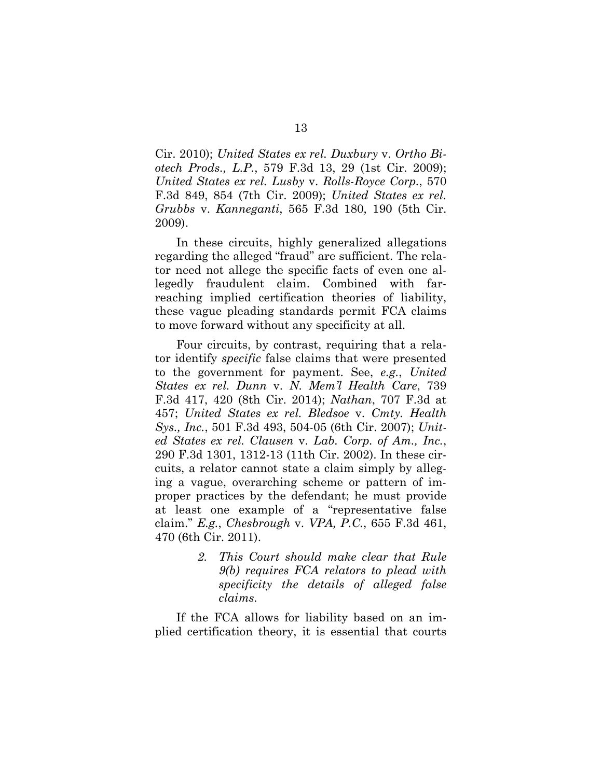Cir. 2010); *United States ex rel. Duxbury* v. *Ortho Biotech Prods., L.P.*, 579 F.3d 13, 29 (1st Cir. 2009); *United States ex rel. Lusby* v. *Rolls-Royce Corp.*, 570 F.3d 849, 854 (7th Cir. 2009); *United States ex rel. Grubbs* v. *Kanneganti*, 565 F.3d 180, 190 (5th Cir. 2009).

In these circuits, highly generalized allegations regarding the alleged "fraud" are sufficient. The relator need not allege the specific facts of even one allegedly fraudulent claim. Combined with farreaching implied certification theories of liability, these vague pleading standards permit FCA claims to move forward without any specificity at all.

Four circuits, by contrast, requiring that a relator identify *specific* false claims that were presented to the government for payment. See, *e.g.*, *United States ex rel. Dunn* v. *N. Mem'l Health Care*, 739 F.3d 417, 420 (8th Cir. 2014); *Nathan*, 707 F.3d at 457; *United States ex rel. Bledsoe* v. *Cmty. Health Sys., Inc.*, 501 F.3d 493, 504-05 (6th Cir. 2007); *United States ex rel. Clausen* v. *Lab. Corp. of Am., Inc.*, 290 F.3d 1301, 1312-13 (11th Cir. 2002). In these circuits, a relator cannot state a claim simply by alleging a vague, overarching scheme or pattern of improper practices by the defendant; he must provide at least one example of a "representative false claim." *E.g.*, *Chesbrough* v. *VPA, P.C.*, 655 F.3d 461, 470 (6th Cir. 2011).

> *2. This Court should make clear that Rule 9(b) requires FCA relators to plead with specificity the details of alleged false claims.*

If the FCA allows for liability based on an implied certification theory, it is essential that courts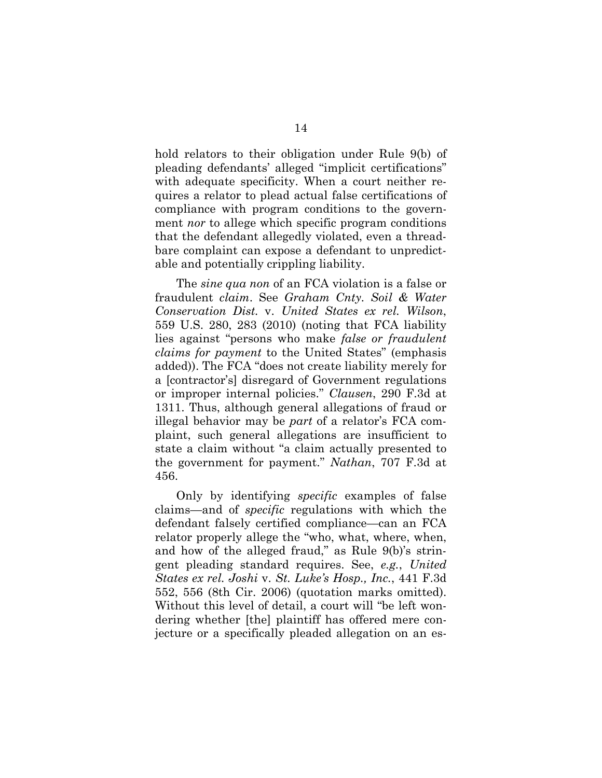hold relators to their obligation under Rule 9(b) of pleading defendants' alleged "implicit certifications" with adequate specificity. When a court neither requires a relator to plead actual false certifications of compliance with program conditions to the government *nor* to allege which specific program conditions that the defendant allegedly violated, even a threadbare complaint can expose a defendant to unpredictable and potentially crippling liability.

The *sine qua non* of an FCA violation is a false or fraudulent *claim*. See *Graham Cnty. Soil & Water Conservation Dist.* v. *United States ex rel. Wilson*, 559 U.S. 280, 283 (2010) (noting that FCA liability lies against "persons who make *false or fraudulent claims for payment* to the United States" (emphasis added)). The FCA "does not create liability merely for a [contractor's] disregard of Government regulations or improper internal policies." *Clausen*, 290 F.3d at 1311. Thus, although general allegations of fraud or illegal behavior may be *part* of a relator's FCA complaint, such general allegations are insufficient to state a claim without "a claim actually presented to the government for payment." *Nathan*, 707 F.3d at 456.

Only by identifying *specific* examples of false claims—and of *specific* regulations with which the defendant falsely certified compliance—can an FCA relator properly allege the "who, what, where, when, and how of the alleged fraud," as Rule 9(b)'s stringent pleading standard requires. See, *e.g.*, *United States ex rel. Joshi* v. *St. Luke's Hosp., Inc.*, 441 F.3d 552, 556 (8th Cir. 2006) (quotation marks omitted). Without this level of detail, a court will "be left wondering whether [the] plaintiff has offered mere conjecture or a specifically pleaded allegation on an es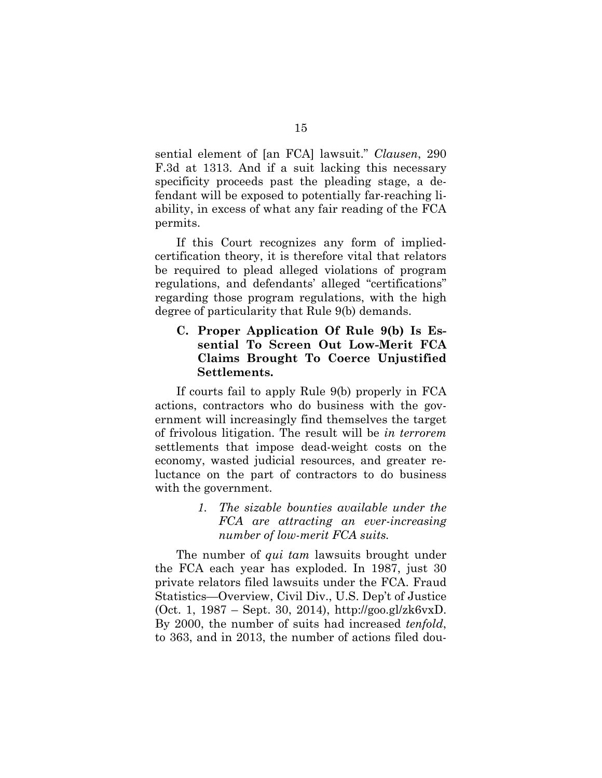sential element of [an FCA] lawsuit." *Clausen*, 290 F.3d at 1313. And if a suit lacking this necessary specificity proceeds past the pleading stage, a defendant will be exposed to potentially far-reaching liability, in excess of what any fair reading of the FCA permits.

If this Court recognizes any form of impliedcertification theory, it is therefore vital that relators be required to plead alleged violations of program regulations, and defendants' alleged "certifications" regarding those program regulations, with the high degree of particularity that Rule 9(b) demands.

### **C. Proper Application Of Rule 9(b) Is Essential To Screen Out Low-Merit FCA Claims Brought To Coerce Unjustified Settlements.**

If courts fail to apply Rule 9(b) properly in FCA actions, contractors who do business with the government will increasingly find themselves the target of frivolous litigation. The result will be *in terrorem*  settlements that impose dead-weight costs on the economy, wasted judicial resources, and greater reluctance on the part of contractors to do business with the government.

> *1. The sizable bounties available under the FCA are attracting an ever-increasing number of low-merit FCA suits.*

The number of *qui tam* lawsuits brought under the FCA each year has exploded. In 1987, just 30 private relators filed lawsuits under the FCA. Fraud Statistics—Overview, Civil Div., U.S. Dep't of Justice (Oct. 1, 1987 – Sept. 30, 2014), http://goo.gl/zk6vxD. By 2000, the number of suits had increased *tenfold*, to 363, and in 2013, the number of actions filed dou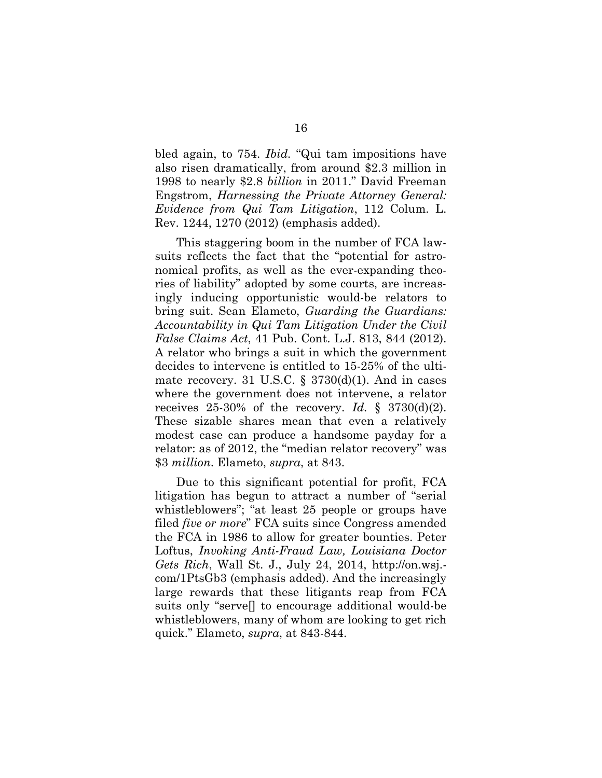bled again, to 754. *Ibid.* "Qui tam impositions have also risen dramatically, from around \$2.3 million in 1998 to nearly \$2.8 *billion* in 2011." David Freeman Engstrom, *Harnessing the Private Attorney General: Evidence from Qui Tam Litigation*, 112 Colum. L. Rev. 1244, 1270 (2012) (emphasis added).

This staggering boom in the number of FCA lawsuits reflects the fact that the "potential for astronomical profits, as well as the ever-expanding theories of liability" adopted by some courts, are increasingly inducing opportunistic would-be relators to bring suit. Sean Elameto, *Guarding the Guardians: Accountability in Qui Tam Litigation Under the Civil False Claims Act*, 41 Pub. Cont. L.J. 813, 844 (2012). A relator who brings a suit in which the government decides to intervene is entitled to 15-25% of the ultimate recovery. 31 U.S.C.  $\S$  3730(d)(1). And in cases where the government does not intervene, a relator receives  $25-30\%$  of the recovery. *Id.* §  $3730(d)(2)$ . These sizable shares mean that even a relatively modest case can produce a handsome payday for a relator: as of 2012, the "median relator recovery" was \$3 *million*. Elameto, *supra*, at 843.

Due to this significant potential for profit, FCA litigation has begun to attract a number of "serial whistleblowers"; "at least 25 people or groups have filed *five or more*" FCA suits since Congress amended the FCA in 1986 to allow for greater bounties. Peter Loftus, *Invoking Anti-Fraud Law, Louisiana Doctor Gets Rich*, Wall St. J., July 24, 2014, http://on.wsj. com/1PtsGb3 (emphasis added). And the increasingly large rewards that these litigants reap from FCA suits only "serve[] to encourage additional would-be whistleblowers, many of whom are looking to get rich quick." Elameto, *supra*, at 843-844.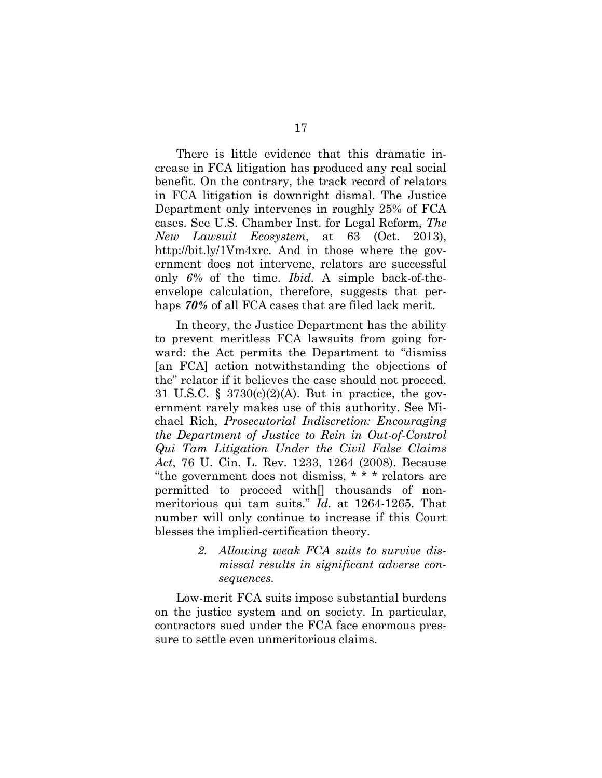There is little evidence that this dramatic increase in FCA litigation has produced any real social benefit. On the contrary, the track record of relators in FCA litigation is downright dismal. The Justice Department only intervenes in roughly 25% of FCA cases. See U.S. Chamber Inst. for Legal Reform, *The New Lawsuit Ecosystem*, at 63 (Oct. 2013), http://bit.ly/1Vm4xrc. And in those where the government does not intervene, relators are successful only *6%* of the time. *Ibid.* A simple back-of-theenvelope calculation, therefore, suggests that perhaps *70%* of all FCA cases that are filed lack merit.

In theory, the Justice Department has the ability to prevent meritless FCA lawsuits from going forward: the Act permits the Department to "dismiss [an FCA] action notwithstanding the objections of the" relator if it believes the case should not proceed. 31 U.S.C. § 3730(c)(2)(A). But in practice, the government rarely makes use of this authority. See Michael Rich, *Prosecutorial Indiscretion: Encouraging the Department of Justice to Rein in Out-of-Control Qui Tam Litigation Under the Civil False Claims Act*, 76 U. Cin. L. Rev. 1233, 1264 (2008). Because "the government does not dismiss, \* \* \* relators are permitted to proceed with[] thousands of nonmeritorious qui tam suits." *Id.* at 1264-1265. That number will only continue to increase if this Court blesses the implied-certification theory.

> *2. Allowing weak FCA suits to survive dismissal results in significant adverse consequences.*

Low-merit FCA suits impose substantial burdens on the justice system and on society. In particular, contractors sued under the FCA face enormous pressure to settle even unmeritorious claims.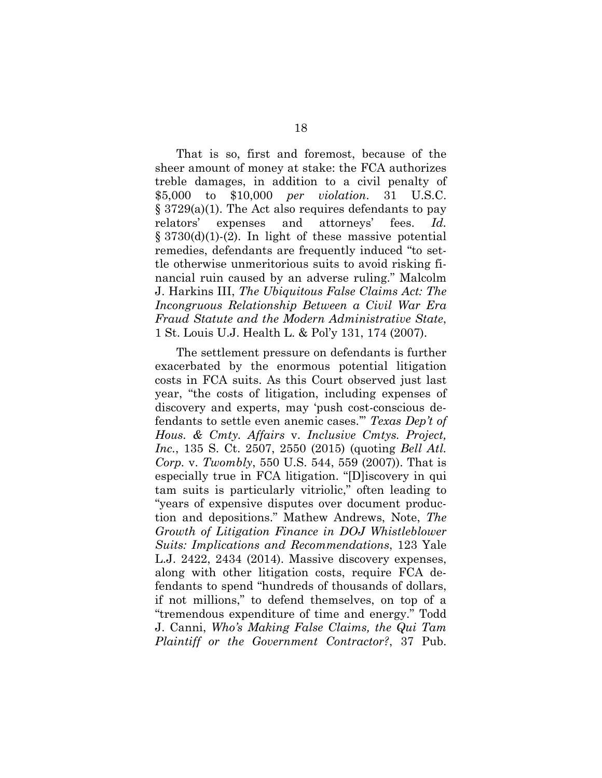That is so, first and foremost, because of the sheer amount of money at stake: the FCA authorizes treble damages, in addition to a civil penalty of \$5,000 to \$10,000 *per violation*. 31 U.S.C. § 3729(a)(1). The Act also requires defendants to pay relators' expenses and attorneys' fees. *Id.*  $\S 3730(d)(1)-(2)$ . In light of these massive potential remedies, defendants are frequently induced "to settle otherwise unmeritorious suits to avoid risking financial ruin caused by an adverse ruling." Malcolm J. Harkins III, *The Ubiquitous False Claims Act: The Incongruous Relationship Between a Civil War Era Fraud Statute and the Modern Administrative State*, 1 St. Louis U.J. Health L. & Pol'y 131, 174 (2007).

The settlement pressure on defendants is further exacerbated by the enormous potential litigation costs in FCA suits. As this Court observed just last year, "the costs of litigation, including expenses of discovery and experts, may 'push cost-conscious defendants to settle even anemic cases.'" *Texas Dep't of Hous. & Cmty. Affairs* v. *Inclusive Cmtys. Project, Inc.*, 135 S. Ct. 2507, 2550 (2015) (quoting *Bell Atl. Corp.* v. *Twombly*, 550 U.S. 544, 559 (2007)). That is especially true in FCA litigation. "[D]iscovery in qui tam suits is particularly vitriolic," often leading to "years of expensive disputes over document production and depositions." Mathew Andrews, Note, *The Growth of Litigation Finance in DOJ Whistleblower Suits: Implications and Recommendations*, 123 Yale L.J. 2422, 2434 (2014). Massive discovery expenses, along with other litigation costs, require FCA defendants to spend "hundreds of thousands of dollars, if not millions," to defend themselves, on top of a "tremendous expenditure of time and energy." Todd J. Canni, *Who's Making False Claims, the Qui Tam Plaintiff or the Government Contractor?*, 37 Pub.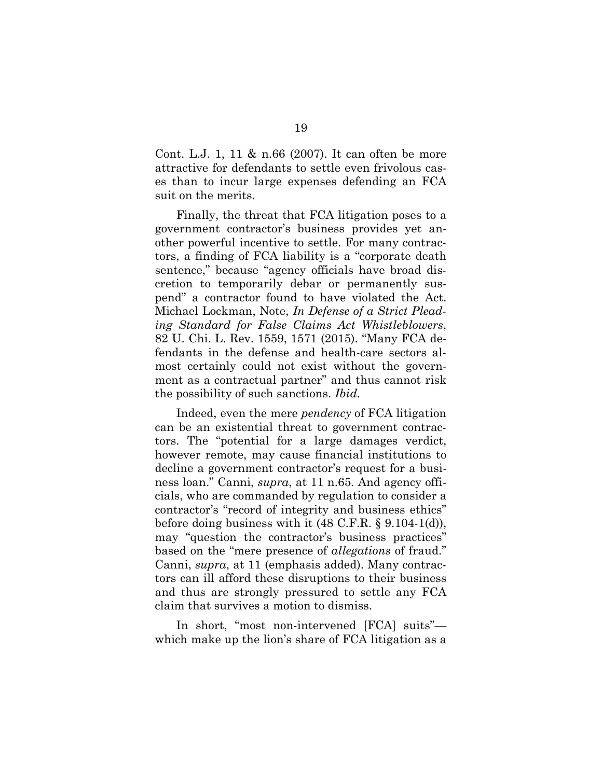Cont. L.J. 1, 11 & n.66 (2007). It can often be more attractive for defendants to settle even frivolous cases than to incur large expenses defending an FCA suit on the merits.

Finally, the threat that FCA litigation poses to a government contractor's business provides yet another powerful incentive to settle. For many contractors, a finding of FCA liability is a "corporate death sentence," because "agency officials have broad discretion to temporarily debar or permanently suspend" a contractor found to have violated the Act. Michael Lockman, Note, *In Defense of a Strict Pleading Standard for False Claims Act Whistleblowers*, 82 U. Chi. L. Rev. 1559, 1571 (2015). "Many FCA defendants in the defense and health-care sectors almost certainly could not exist without the government as a contractual partner" and thus cannot risk the possibility of such sanctions. *Ibid.*

Indeed, even the mere *pendency* of FCA litigation can be an existential threat to government contractors. The "potential for a large damages verdict, however remote, may cause financial institutions to decline a government contractor's request for a business loan." Canni, *supra*, at 11 n.65. And agency officials, who are commanded by regulation to consider a contractor's "record of integrity and business ethics" before doing business with it (48 C.F.R. § 9.104-1(d)), may "question the contractor's business practices" based on the "mere presence of *allegations* of fraud." Canni, *supra*, at 11 (emphasis added). Many contractors can ill afford these disruptions to their business and thus are strongly pressured to settle any FCA claim that survives a motion to dismiss.

In short, "most non-intervened [FCA] suits" which make up the lion's share of FCA litigation as a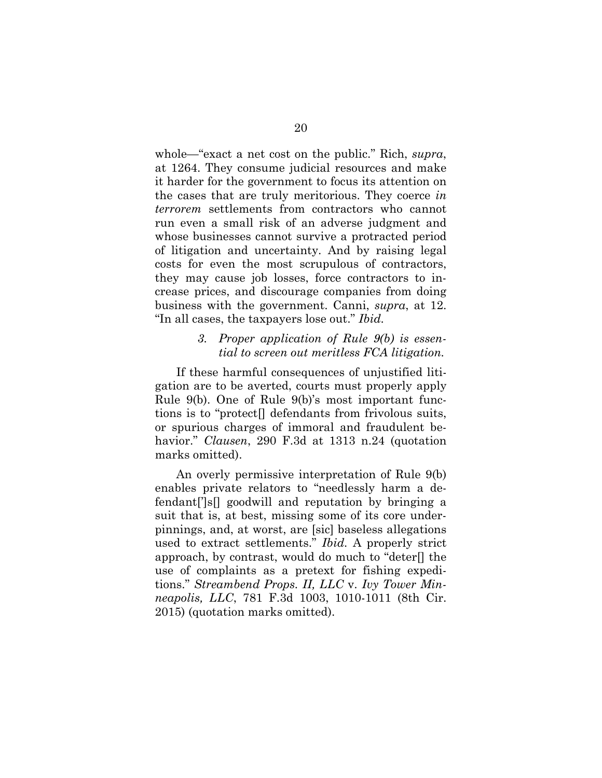whole—"exact a net cost on the public." Rich, *supra*, at 1264. They consume judicial resources and make it harder for the government to focus its attention on the cases that are truly meritorious. They coerce *in terrorem* settlements from contractors who cannot run even a small risk of an adverse judgment and whose businesses cannot survive a protracted period of litigation and uncertainty. And by raising legal costs for even the most scrupulous of contractors, they may cause job losses, force contractors to increase prices, and discourage companies from doing business with the government. Canni, *supra*, at 12. "In all cases, the taxpayers lose out." *Ibid.*

#### *3. Proper application of Rule 9(b) is essential to screen out meritless FCA litigation.*

If these harmful consequences of unjustified litigation are to be averted, courts must properly apply Rule 9(b). One of Rule 9(b)'s most important functions is to "protect[] defendants from frivolous suits, or spurious charges of immoral and fraudulent behavior." *Clausen*, 290 F.3d at 1313 n.24 (quotation marks omitted).

An overly permissive interpretation of Rule 9(b) enables private relators to "needlessly harm a defendant[']s[] goodwill and reputation by bringing a suit that is, at best, missing some of its core underpinnings, and, at worst, are [sic] baseless allegations used to extract settlements." *Ibid.* A properly strict approach, by contrast, would do much to "deter[] the use of complaints as a pretext for fishing expeditions." *Streambend Props. II, LLC* v. *Ivy Tower Minneapolis, LLC*, 781 F.3d 1003, 1010-1011 (8th Cir. 2015) (quotation marks omitted).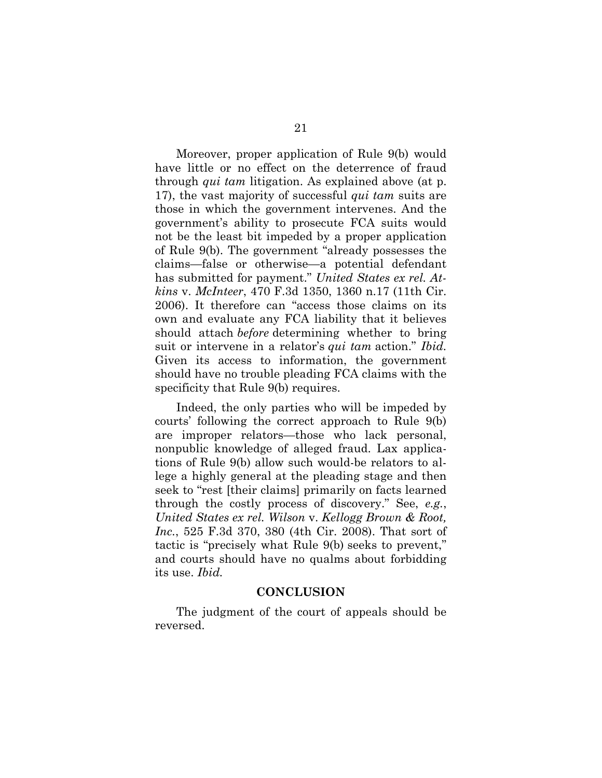Moreover, proper application of Rule 9(b) would have little or no effect on the deterrence of fraud through *qui tam* litigation. As explained above (at p. 17), the vast majority of successful *qui tam* suits are those in which the government intervenes. And the government's ability to prosecute FCA suits would not be the least bit impeded by a proper application of Rule 9(b). The government "already possesses the claims—false or otherwise—a potential defendant has submitted for payment." *United States ex rel. Atkins* v. *McInteer*, 470 F.3d 1350, 1360 n.17 (11th Cir. 2006). It therefore can "access those claims on its own and evaluate any FCA liability that it believes should attach *before* determining whether to bring suit or intervene in a relator's *qui tam* action." *Ibid.* Given its access to information, the government should have no trouble pleading FCA claims with the specificity that Rule 9(b) requires.

Indeed, the only parties who will be impeded by courts' following the correct approach to Rule 9(b) are improper relators—those who lack personal, nonpublic knowledge of alleged fraud. Lax applications of Rule 9(b) allow such would-be relators to allege a highly general at the pleading stage and then seek to "rest [their claims] primarily on facts learned through the costly process of discovery." See, *e.g.*, *United States ex rel. Wilson* v. *Kellogg Brown & Root, Inc.*, 525 F.3d 370, 380 (4th Cir. 2008). That sort of tactic is "precisely what Rule 9(b) seeks to prevent," and courts should have no qualms about forbidding its use. *Ibid.*

#### **CONCLUSION**

The judgment of the court of appeals should be reversed.